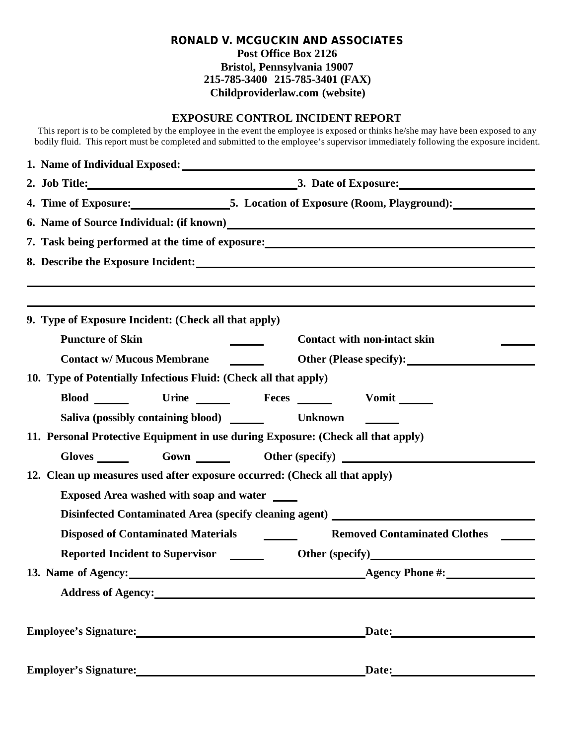### **RONALD V. MCGUCKIN AND ASSOCIATES Post Office Box 2126 Bristol, Pennsylvania 19007 215-785-3400 215-785-3401 (FAX) Childproviderlaw.com (website)**

#### **EXPOSURE CONTROL INCIDENT REPORT**

This report is to be completed by the employee in the event the employee is exposed or thinks he/she may have been exposed to any bodily fluid. This report must be completed and submitted to the employee's supervisor immediately following the exposure incident.

| 4. Time of Exposure: 5. Location of Exposure (Room, Playground):                 |                                                                                                                                                                                                                                     |  |  |  |  |
|----------------------------------------------------------------------------------|-------------------------------------------------------------------------------------------------------------------------------------------------------------------------------------------------------------------------------------|--|--|--|--|
|                                                                                  |                                                                                                                                                                                                                                     |  |  |  |  |
|                                                                                  | 7. Task being performed at the time of exposure: <u>contract the set of exposure</u> and the set of exposure of exposure of exposure and the set of the set of the set of the set of the set of the set of the set of the set of th |  |  |  |  |
|                                                                                  |                                                                                                                                                                                                                                     |  |  |  |  |
|                                                                                  |                                                                                                                                                                                                                                     |  |  |  |  |
|                                                                                  |                                                                                                                                                                                                                                     |  |  |  |  |
| 9. Type of Exposure Incident: (Check all that apply)                             |                                                                                                                                                                                                                                     |  |  |  |  |
| <b>Puncture of Skin</b>                                                          | <b>Contact with non-intact skin</b>                                                                                                                                                                                                 |  |  |  |  |
| <b>Contact w/ Mucous Membrane</b>                                                | Other (Please specify):                                                                                                                                                                                                             |  |  |  |  |
| 10. Type of Potentially Infectious Fluid: (Check all that apply)                 |                                                                                                                                                                                                                                     |  |  |  |  |
| Blood Urine Feces                                                                | Vomit                                                                                                                                                                                                                               |  |  |  |  |
|                                                                                  |                                                                                                                                                                                                                                     |  |  |  |  |
| 11. Personal Protective Equipment in use during Exposure: (Check all that apply) |                                                                                                                                                                                                                                     |  |  |  |  |
|                                                                                  | Gloves Gown Cown Other (specify)                                                                                                                                                                                                    |  |  |  |  |
| 12. Clean up measures used after exposure occurred: (Check all that apply)       |                                                                                                                                                                                                                                     |  |  |  |  |
| Exposed Area washed with soap and water ______                                   |                                                                                                                                                                                                                                     |  |  |  |  |
|                                                                                  | Disinfected Contaminated Area (specify cleaning agent) _________________________                                                                                                                                                    |  |  |  |  |
|                                                                                  | <b>Removed Contaminated Clothes</b>                                                                                                                                                                                                 |  |  |  |  |
| <b>Reported Incident to Supervisor</b>                                           | Other (specify)<br><u>Department</u>                                                                                                                                                                                                |  |  |  |  |
|                                                                                  | 13. Name of Agency: <u>Agency Phone #:</u>                                                                                                                                                                                          |  |  |  |  |
| Address of Agency: No. 1996. The Contract of Agency:                             |                                                                                                                                                                                                                                     |  |  |  |  |
|                                                                                  |                                                                                                                                                                                                                                     |  |  |  |  |
|                                                                                  | Date: Date:                                                                                                                                                                                                                         |  |  |  |  |
|                                                                                  |                                                                                                                                                                                                                                     |  |  |  |  |
|                                                                                  |                                                                                                                                                                                                                                     |  |  |  |  |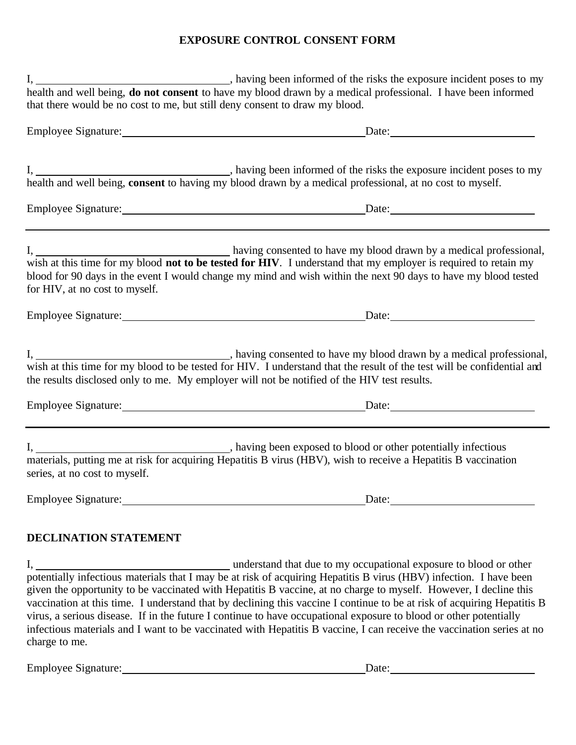# **EXPOSURE CONTROL CONSENT FORM**

| health and well being, do not consent to have my blood drawn by a medical professional. I have been informed |                                                                                                                                                                                                                                                                                                                                                                                                                                                                                                                                                                                                                                                                                         |  |  |  |  |  |
|--------------------------------------------------------------------------------------------------------------|-----------------------------------------------------------------------------------------------------------------------------------------------------------------------------------------------------------------------------------------------------------------------------------------------------------------------------------------------------------------------------------------------------------------------------------------------------------------------------------------------------------------------------------------------------------------------------------------------------------------------------------------------------------------------------------------|--|--|--|--|--|
| that there would be no cost to me, but still deny consent to draw my blood.                                  |                                                                                                                                                                                                                                                                                                                                                                                                                                                                                                                                                                                                                                                                                         |  |  |  |  |  |
|                                                                                                              |                                                                                                                                                                                                                                                                                                                                                                                                                                                                                                                                                                                                                                                                                         |  |  |  |  |  |
|                                                                                                              |                                                                                                                                                                                                                                                                                                                                                                                                                                                                                                                                                                                                                                                                                         |  |  |  |  |  |
|                                                                                                              |                                                                                                                                                                                                                                                                                                                                                                                                                                                                                                                                                                                                                                                                                         |  |  |  |  |  |
| for HIV, at no cost to myself.                                                                               | I, having consented to have my blood drawn by a medical professional, wish at this time for my blood <b>not to be tested for HIV</b> . I understand that my employer is required to retain my<br>blood for 90 days in the event I would change my mind and wish within the next 90 days to have my blood tested                                                                                                                                                                                                                                                                                                                                                                         |  |  |  |  |  |
|                                                                                                              | Employee Signature: Date: Date:                                                                                                                                                                                                                                                                                                                                                                                                                                                                                                                                                                                                                                                         |  |  |  |  |  |
|                                                                                                              | wish at this time for my blood to be tested for HIV. I understand that the result of the test will be confidential and<br>the results disclosed only to me. My employer will not be notified of the HIV test results.                                                                                                                                                                                                                                                                                                                                                                                                                                                                   |  |  |  |  |  |
|                                                                                                              | Employee Signature: Date: Date:                                                                                                                                                                                                                                                                                                                                                                                                                                                                                                                                                                                                                                                         |  |  |  |  |  |
| series, at no cost to myself.                                                                                | I, ________________________, having been exposed to blood or other potentially infectious<br>materials, putting me at risk for acquiring Hepatitis B virus (HBV), wish to receive a Hepatitis B vaccination                                                                                                                                                                                                                                                                                                                                                                                                                                                                             |  |  |  |  |  |
|                                                                                                              | Date:                                                                                                                                                                                                                                                                                                                                                                                                                                                                                                                                                                                                                                                                                   |  |  |  |  |  |
| DECLINATION STATEMENT                                                                                        |                                                                                                                                                                                                                                                                                                                                                                                                                                                                                                                                                                                                                                                                                         |  |  |  |  |  |
| charge to me.                                                                                                | I, understand that due to my occupational exposure to blood or other<br>potentially infectious materials that I may be at risk of acquiring Hepatitis B virus (HBV) infection. I have been<br>given the opportunity to be vaccinated with Hepatitis B vaccine, at no charge to myself. However, I decline this<br>vaccination at this time. I understand that by declining this vaccine I continue to be at risk of acquiring Hepatitis B<br>virus, a serious disease. If in the future I continue to have occupational exposure to blood or other potentially<br>infectious materials and I want to be vaccinated with Hepatitis B vaccine, I can receive the vaccination series at no |  |  |  |  |  |

Employee Signature: Date: Date: Date: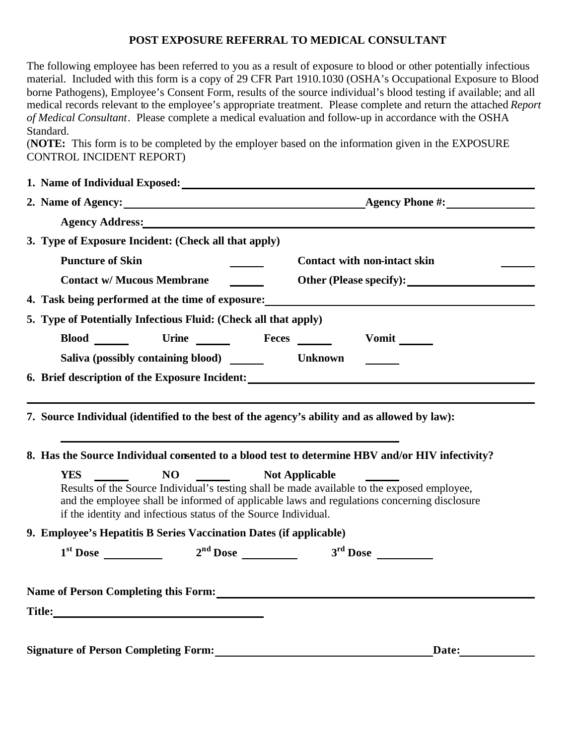### **POST EXPOSURE REFERRAL TO MEDICAL CONSULTANT**

The following employee has been referred to you as a result of exposure to blood or other potentially infectious material. Included with this form is a copy of 29 CFR Part 1910.1030 (OSHA's Occupational Exposure to Blood borne Pathogens), Employee's Consent Form, results of the source individual's blood testing if available; and all medical records relevant to the employee's appropriate treatment. Please complete and return the attached *Report of Medical Consultant*. Please complete a medical evaluation and follow-up in accordance with the OSHA Standard.

(**NOTE:** This form is to be completed by the employer based on the information given in the EXPOSURE CONTROL INCIDENT REPORT)

|                                             | 1. Name of Individual Exposed:                                                                                                                                                                                                 |                                                                                                                                                                                                                               |  |  |  |
|---------------------------------------------|--------------------------------------------------------------------------------------------------------------------------------------------------------------------------------------------------------------------------------|-------------------------------------------------------------------------------------------------------------------------------------------------------------------------------------------------------------------------------|--|--|--|
|                                             |                                                                                                                                                                                                                                | 2. Name of Agency: <u>Agency Phone #:</u> Agency Phone #:                                                                                                                                                                     |  |  |  |
|                                             |                                                                                                                                                                                                                                | Agency Address: No. 1996. The Contract of the Contract of the Contract of the Contract of the Contract of the Contract of the Contract of the Contract of the Contract of the Contract of the Contract of the Contract of the |  |  |  |
|                                             | 3. Type of Exposure Incident: (Check all that apply)                                                                                                                                                                           |                                                                                                                                                                                                                               |  |  |  |
| <b>Puncture of Skin</b>                     |                                                                                                                                                                                                                                | <b>Contact with non-intact skin</b>                                                                                                                                                                                           |  |  |  |
|                                             | <b>Contact w/ Mucous Membrane</b>                                                                                                                                                                                              | Other (Please specify):                                                                                                                                                                                                       |  |  |  |
|                                             | 4. Task being performed at the time of exposure:                                                                                                                                                                               |                                                                                                                                                                                                                               |  |  |  |
|                                             | 5. Type of Potentially Infectious Fluid: (Check all that apply)                                                                                                                                                                |                                                                                                                                                                                                                               |  |  |  |
|                                             | Blood Urine Feces                                                                                                                                                                                                              | $V$ omit $\_\_$                                                                                                                                                                                                               |  |  |  |
|                                             | Saliva (possibly containing blood)                                                                                                                                                                                             | <b>Unknown</b>                                                                                                                                                                                                                |  |  |  |
|                                             |                                                                                                                                                                                                                                | 6. Brief description of the Exposure Incident:                                                                                                                                                                                |  |  |  |
|                                             |                                                                                                                                                                                                                                |                                                                                                                                                                                                                               |  |  |  |
|                                             |                                                                                                                                                                                                                                | 7. Source Individual (identified to the best of the agency's ability and as allowed by law):                                                                                                                                  |  |  |  |
|                                             | 8. Has the Source Individual consented to a blood test to determine HBV and/or HIV infectivity?                                                                                                                                |                                                                                                                                                                                                                               |  |  |  |
| <b>YES</b>                                  | <b>NO</b>                                                                                                                                                                                                                      | <b>Not Applicable</b>                                                                                                                                                                                                         |  |  |  |
|                                             | if the identity and infectious status of the Source Individual.                                                                                                                                                                | Results of the Source Individual's testing shall be made available to the exposed employee,<br>and the employee shall be informed of applicable laws and regulations concerning disclosure                                    |  |  |  |
|                                             | 9. Employee's Hepatitis B Series Vaccination Dates (if applicable)                                                                                                                                                             |                                                                                                                                                                                                                               |  |  |  |
|                                             |                                                                                                                                                                                                                                | $1st$ Dose $2nd$ Dose $3rd$ Dose $3rd$ Dose                                                                                                                                                                                   |  |  |  |
|                                             |                                                                                                                                                                                                                                |                                                                                                                                                                                                                               |  |  |  |
|                                             |                                                                                                                                                                                                                                | Name of Person Completing this Form:                                                                                                                                                                                          |  |  |  |
|                                             | Title: The contract of the contract of the contract of the contract of the contract of the contract of the contract of the contract of the contract of the contract of the contract of the contract of the contract of the con |                                                                                                                                                                                                                               |  |  |  |
|                                             |                                                                                                                                                                                                                                |                                                                                                                                                                                                                               |  |  |  |
| <b>Signature of Person Completing Form:</b> |                                                                                                                                                                                                                                | Date:                                                                                                                                                                                                                         |  |  |  |